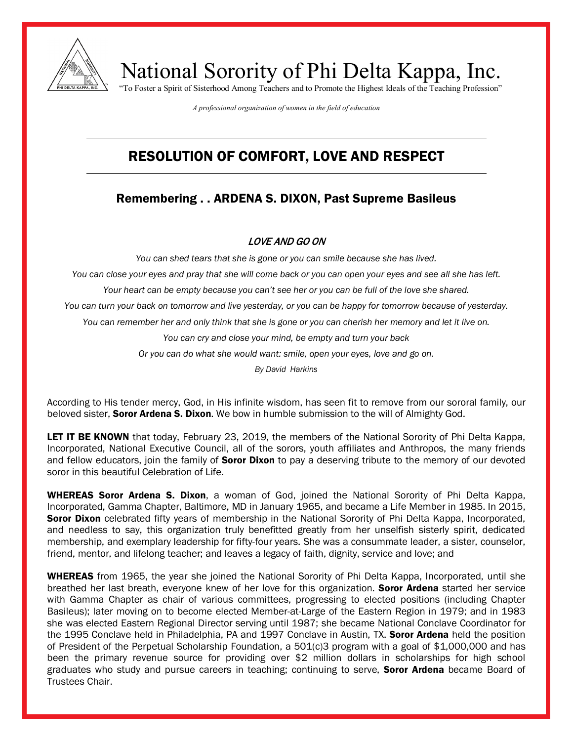

National Sorority of Phi Delta Kappa, Inc. "To Foster a Spirit of Sisterhood Among Teachers and to Promote the Highest Ideals of the Teaching Profession"

*A professional organization of women in the field of education*

## RESOLUTION OF COMFORT, LOVE AND RESPECT

### Remembering . . ARDENA S. DIXON, Past Supreme Basileus

#### LOVE AND GO ON

*You can shed tears that she is gone or you can smile because she has lived.*

*You can close your eyes and pray that she will come back or you can open your eyes and see all she has left.*

*Your heart can be empty because you can't see her or you can be full of the love she shared.*

*You can turn your back on tomorrow and live yesterday, or you can be happy for tomorrow because of yesterday.*

*You can remember her and only think that she is gone or you can cherish her memory and let it live on.*

*You can cry and close your mind, be empty and turn your back*

*Or you can do what she would want: smile, open your eyes, love and go on.*

*By David Harkins*

According to His tender mercy, God, in His infinite wisdom, has seen fit to remove from our sororal family, our beloved sister, **Soror Ardena S. Dixon**. We bow in humble submission to the will of Almighty God.

LET IT BE KNOWN that today, February 23, 2019, the members of the National Sorority of Phi Delta Kappa, Incorporated, National Executive Council, all of the sorors, youth affiliates and Anthropos, the many friends and fellow educators, join the family of **Soror Dixon** to pay a deserving tribute to the memory of our devoted soror in this beautiful Celebration of Life.

WHEREAS Soror Ardena S. Dixon, a woman of God, joined the National Sorority of Phi Delta Kappa, Incorporated, Gamma Chapter, Baltimore, MD in January 1965, and became a Life Member in 1985. In 2015, **Soror Dixon** celebrated fifty years of membership in the National Sorority of Phi Delta Kappa, Incorporated, and needless to say, this organization truly benefitted greatly from her unselfish sisterly spirit, dedicated membership, and exemplary leadership for fifty-four years. She was a consummate leader, a sister, counselor, friend, mentor, and lifelong teacher; and leaves a legacy of faith, dignity, service and love; and

WHEREAS from 1965, the year she joined the National Sorority of Phi Delta Kappa, Incorporated, until she breathed her last breath, everyone knew of her love for this organization. **Soror Ardena** started her service with Gamma Chapter as chair of various committees, progressing to elected positions (including Chapter Basileus); later moving on to become elected Member-at-Large of the Eastern Region in 1979; and in 1983 she was elected Eastern Regional Director serving until 1987; she became National Conclave Coordinator for the 1995 Conclave held in Philadelphia, PA and 1997 Conclave in Austin, TX. Soror Ardena held the position of President of the Perpetual Scholarship Foundation, a 501(c)3 program with a goal of \$1,000,000 and has been the primary revenue source for providing over \$2 million dollars in scholarships for high school graduates who study and pursue careers in teaching; continuing to serve, **Soror Ardena** became Board of Trustees Chair.